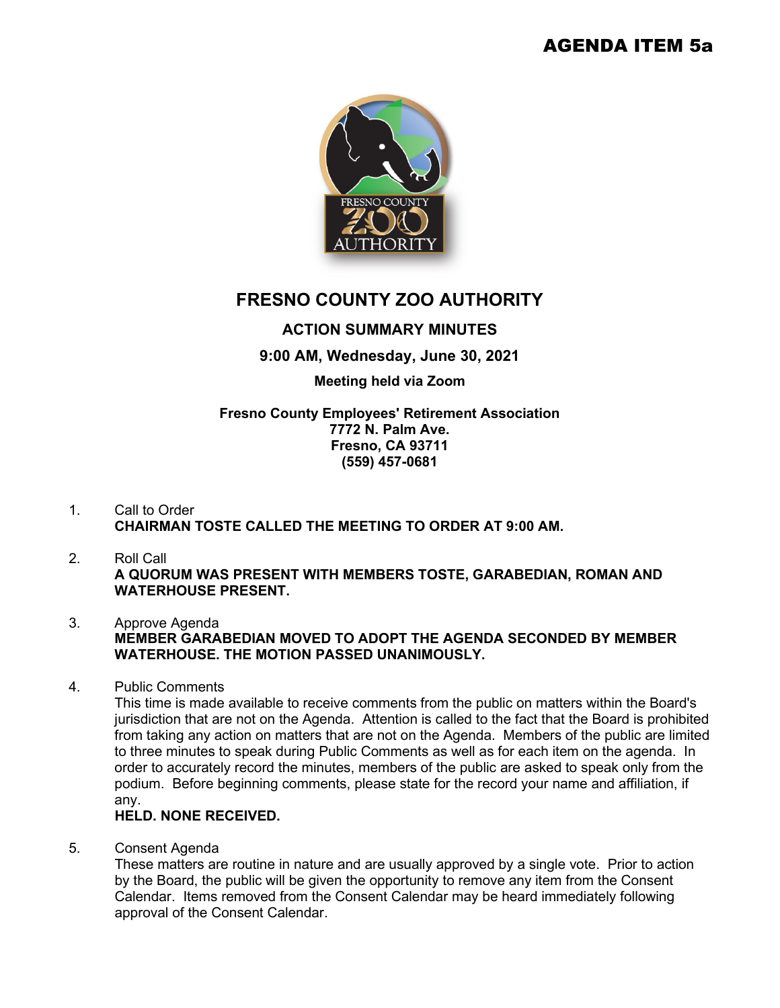

# **FRESNO COUNTY ZOO AUTHORITY**

## **ACTION SUMMARY MINUTES**

**9:00 AM, Wednesday, June 30, 2021** 

#### **Meeting held via Zoom**

#### **Fresno County Employees' Retirement Association 7772 N. Palm Ave. Fresno, CA 93711 (559) 457-0681**

### 1. Call to Order **CHAIRMAN TOSTE CALLED THE MEETING TO ORDER AT 9:00 AM.**

2. Roll Call **A QUORUM WAS PRESENT WITH MEMBERS TOSTE, GARABEDIAN, ROMAN AND WATERHOUSE PRESENT.**

#### 3. Approve Agenda **MEMBER GARABEDIAN MOVED TO ADOPT THE AGENDA SECONDED BY MEMBER WATERHOUSE. THE MOTION PASSED UNANIMOUSLY.**

4. Public Comments

This time is made available to receive comments from the public on matters within the Board's jurisdiction that are not on the Agenda. Attention is called to the fact that the Board is prohibited from taking any action on matters that are not on the Agenda. Members of the public are limited to three minutes to speak during Public Comments as well as for each item on the agenda. In order to accurately record the minutes, members of the public are asked to speak only from the podium. Before beginning comments, please state for the record your name and affiliation, if any.

#### **HELD. NONE RECEIVED.**

5. Consent Agenda

These matters are routine in nature and are usually approved by a single vote. Prior to action by the Board, the public will be given the opportunity to remove any item from the Consent Calendar. Items removed from the Consent Calendar may be heard immediately following approval of the Consent Calendar.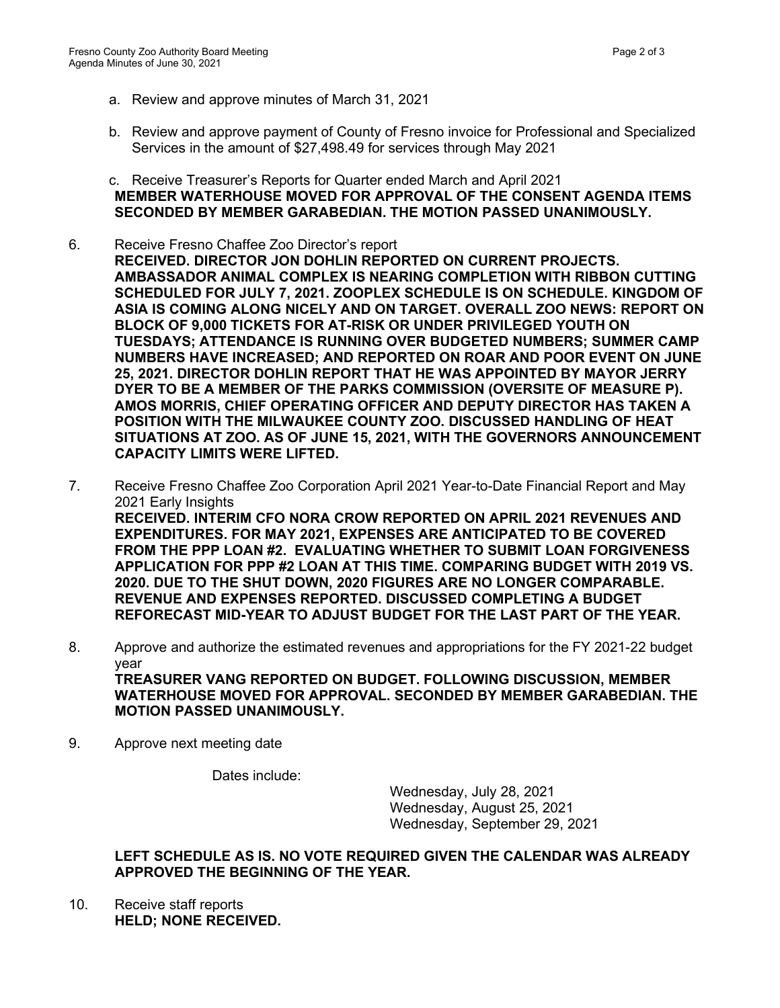- a. Review and approve minutes of March 31, 2021
- b. Review and approve payment of County of Fresno invoice for Professional and Specialized Services in the amount of \$27,498.49 for services through May 2021
- c. Receive Treasurer's Reports for Quarter ended March and April 2021 **MEMBER WATERHOUSE MOVED FOR APPROVAL OF THE CONSENT AGENDA ITEMS SECONDED BY MEMBER GARABEDIAN. THE MOTION PASSED UNANIMOUSLY.**
- 6. Receive Fresno Chaffee Zoo Director's report **RECEIVED. DIRECTOR JON DOHLIN REPORTED ON CURRENT PROJECTS. AMBASSADOR ANIMAL COMPLEX IS NEARING COMPLETION WITH RIBBON CUTTING SCHEDULED FOR JULY 7, 2021. ZOOPLEX SCHEDULE IS ON SCHEDULE. KINGDOM OF ASIA IS COMING ALONG NICELY AND ON TARGET. OVERALL ZOO NEWS: REPORT ON BLOCK OF 9,000 TICKETS FOR AT-RISK OR UNDER PRIVILEGED YOUTH ON TUESDAYS; ATTENDANCE IS RUNNING OVER BUDGETED NUMBERS; SUMMER CAMP NUMBERS HAVE INCREASED; AND REPORTED ON ROAR AND POOR EVENT ON JUNE 25, 2021. DIRECTOR DOHLIN REPORT THAT HE WAS APPOINTED BY MAYOR JERRY DYER TO BE A MEMBER OF THE PARKS COMMISSION (OVERSITE OF MEASURE P). AMOS MORRIS, CHIEF OPERATING OFFICER AND DEPUTY DIRECTOR HAS TAKEN A POSITION WITH THE MILWAUKEE COUNTY ZOO. DISCUSSED HANDLING OF HEAT SITUATIONS AT ZOO. AS OF JUNE 15, 2021, WITH THE GOVERNORS ANNOUNCEMENT CAPACITY LIMITS WERE LIFTED.**
- 7. Receive Fresno Chaffee Zoo Corporation April 2021 Year-to-Date Financial Report and May 2021 Early Insights **RECEIVED. INTERIM CFO NORA CROW REPORTED ON APRIL 2021 REVENUES AND EXPENDITURES. FOR MAY 2021, EXPENSES ARE ANTICIPATED TO BE COVERED FROM THE PPP LOAN #2. EVALUATING WHETHER TO SUBMIT LOAN FORGIVENESS APPLICATION FOR PPP #2 LOAN AT THIS TIME. COMPARING BUDGET WITH 2019 VS. 2020. DUE TO THE SHUT DOWN, 2020 FIGURES ARE NO LONGER COMPARABLE. REVENUE AND EXPENSES REPORTED. DISCUSSED COMPLETING A BUDGET REFORECAST MID-YEAR TO ADJUST BUDGET FOR THE LAST PART OF THE YEAR.**
- 8. Approve and authorize the estimated revenues and appropriations for the FY 2021-22 budget year **TREASURER VANG REPORTED ON BUDGET. FOLLOWING DISCUSSION, MEMBER WATERHOUSE MOVED FOR APPROVAL. SECONDED BY MEMBER GARABEDIAN. THE MOTION PASSED UNANIMOUSLY.**
- 9. Approve next meeting date

Dates include:

Wednesday, July 28, 2021 Wednesday, August 25, 2021 Wednesday, September 29, 2021

#### **LEFT SCHEDULE AS IS. NO VOTE REQUIRED GIVEN THE CALENDAR WAS ALREADY APPROVED THE BEGINNING OF THE YEAR.**

10. Receive staff reports **HELD; NONE RECEIVED.**